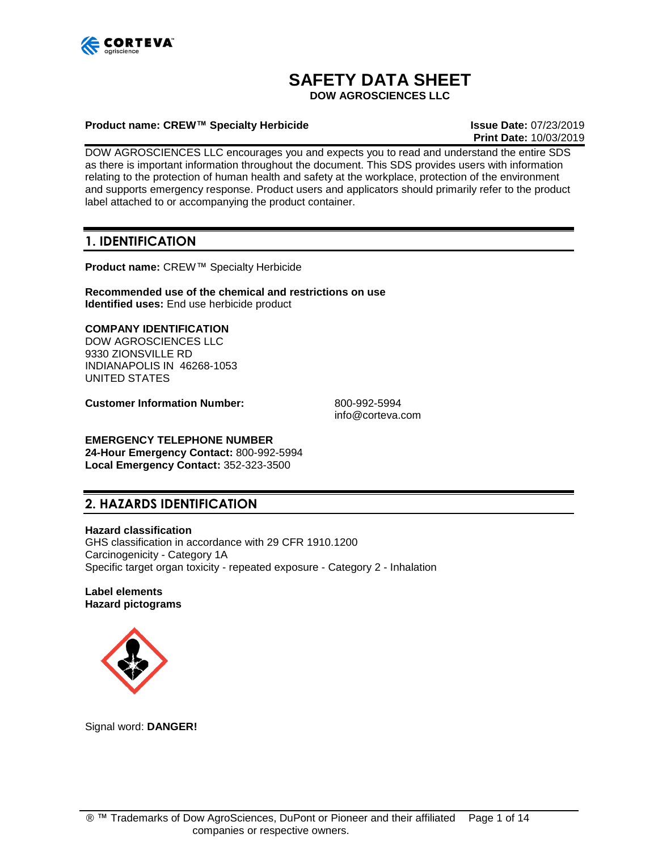

# **SAFETY DATA SHEET**

**DOW AGROSCIENCES LLC**

#### **Product name: CREW™ Specialty Herbicide Issue Date:** 07/23/2019

**Print Date:** 10/03/2019

DOW AGROSCIENCES LLC encourages you and expects you to read and understand the entire SDS as there is important information throughout the document. This SDS provides users with information relating to the protection of human health and safety at the workplace, protection of the environment and supports emergency response. Product users and applicators should primarily refer to the product label attached to or accompanying the product container.

## **1. IDENTIFICATION**

**Product name:** CREW™ Specialty Herbicide

**Recommended use of the chemical and restrictions on use Identified uses:** End use herbicide product

#### **COMPANY IDENTIFICATION**

DOW AGROSCIENCES LLC 9330 ZIONSVILLE RD INDIANAPOLIS IN 46268-1053 UNITED STATES

**Customer Information Number:** 800-992-5994

info@corteva.com

## **EMERGENCY TELEPHONE NUMBER**

**24-Hour Emergency Contact:** 800-992-5994 **Local Emergency Contact:** 352-323-3500

## **2. HAZARDS IDENTIFICATION**

#### **Hazard classification**

GHS classification in accordance with 29 CFR 1910.1200 Carcinogenicity - Category 1A Specific target organ toxicity - repeated exposure - Category 2 - Inhalation

**Label elements Hazard pictograms**



Signal word: **DANGER!**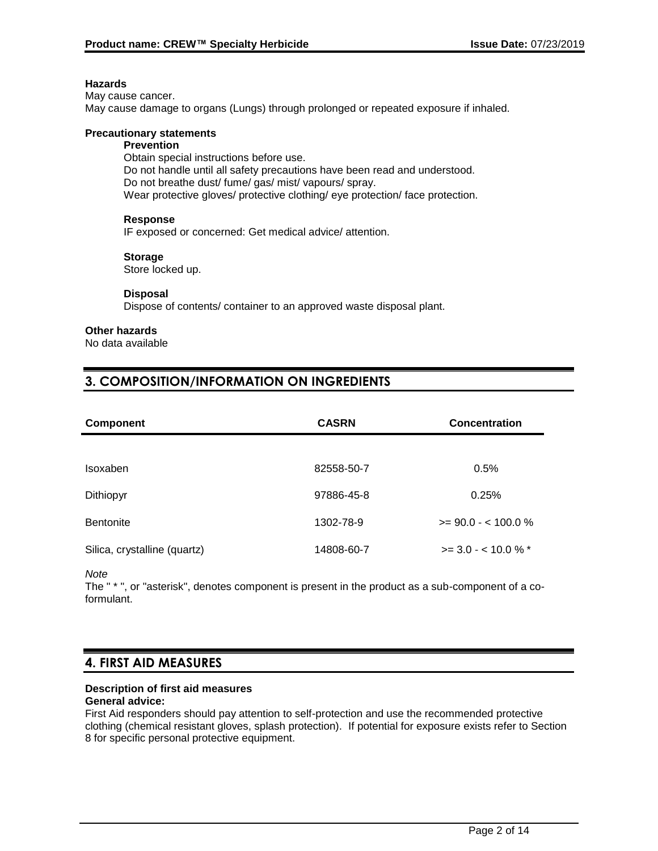#### **Hazards**

May cause cancer. May cause damage to organs (Lungs) through prolonged or repeated exposure if inhaled.

#### **Precautionary statements**

#### **Prevention**

Obtain special instructions before use. Do not handle until all safety precautions have been read and understood. Do not breathe dust/ fume/ gas/ mist/ vapours/ spray. Wear protective gloves/ protective clothing/ eye protection/ face protection.

#### **Response**

IF exposed or concerned: Get medical advice/ attention.

#### **Storage**

Store locked up.

#### **Disposal**

Dispose of contents/ container to an approved waste disposal plant.

#### **Other hazards**

No data available

## **3. COMPOSITION/INFORMATION ON INGREDIENTS**

| <b>Component</b>             | <b>CASRN</b><br><b>Concentration</b> |                           |
|------------------------------|--------------------------------------|---------------------------|
|                              |                                      |                           |
| Isoxaben                     | 82558-50-7                           | 0.5%                      |
| Dithiopyr                    | 97886-45-8                           | 0.25%                     |
| Bentonite                    | 1302-78-9                            | $>= 90.0 - 100.0 %$       |
| Silica, crystalline (quartz) | 14808-60-7                           | $\ge$ 3.0 - < 10.0 % $^*$ |

*Note*

The " \* ", or "asterisk", denotes component is present in the product as a sub-component of a coformulant.

### **4. FIRST AID MEASURES**

## **Description of first aid measures**

#### **General advice:**

First Aid responders should pay attention to self-protection and use the recommended protective clothing (chemical resistant gloves, splash protection). If potential for exposure exists refer to Section 8 for specific personal protective equipment.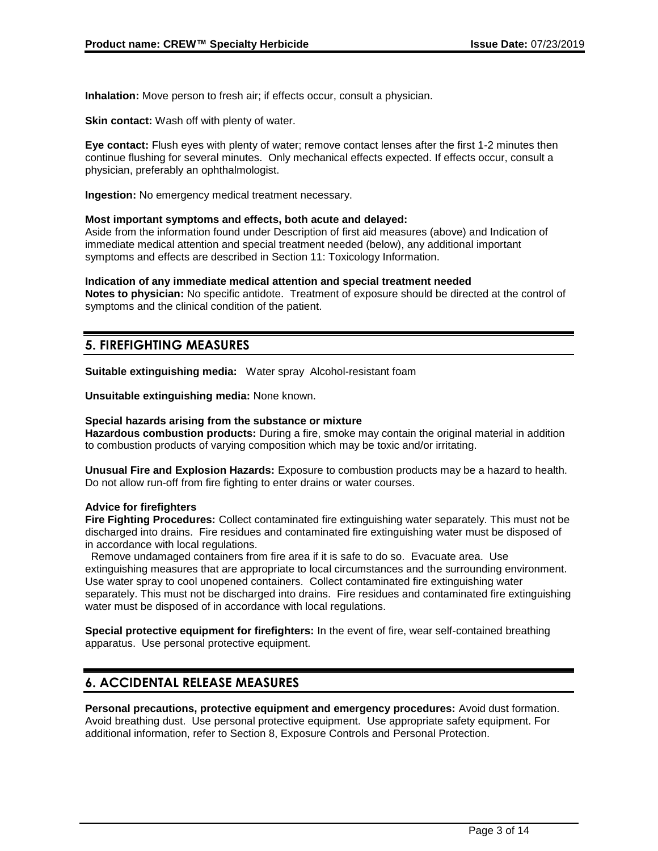**Inhalation:** Move person to fresh air; if effects occur, consult a physician.

**Skin contact:** Wash off with plenty of water.

**Eye contact:** Flush eyes with plenty of water; remove contact lenses after the first 1-2 minutes then continue flushing for several minutes. Only mechanical effects expected. If effects occur, consult a physician, preferably an ophthalmologist.

**Ingestion:** No emergency medical treatment necessary.

#### **Most important symptoms and effects, both acute and delayed:**

Aside from the information found under Description of first aid measures (above) and Indication of immediate medical attention and special treatment needed (below), any additional important symptoms and effects are described in Section 11: Toxicology Information.

#### **Indication of any immediate medical attention and special treatment needed**

**Notes to physician:** No specific antidote. Treatment of exposure should be directed at the control of symptoms and the clinical condition of the patient.

### **5. FIREFIGHTING MEASURES**

**Suitable extinguishing media:** Water spray Alcohol-resistant foam

**Unsuitable extinguishing media:** None known.

#### **Special hazards arising from the substance or mixture**

**Hazardous combustion products:** During a fire, smoke may contain the original material in addition to combustion products of varying composition which may be toxic and/or irritating.

**Unusual Fire and Explosion Hazards:** Exposure to combustion products may be a hazard to health. Do not allow run-off from fire fighting to enter drains or water courses.

#### **Advice for firefighters**

**Fire Fighting Procedures:** Collect contaminated fire extinguishing water separately. This must not be discharged into drains. Fire residues and contaminated fire extinguishing water must be disposed of in accordance with local regulations.

 Remove undamaged containers from fire area if it is safe to do so. Evacuate area. Use extinguishing measures that are appropriate to local circumstances and the surrounding environment. Use water spray to cool unopened containers. Collect contaminated fire extinguishing water separately. This must not be discharged into drains. Fire residues and contaminated fire extinguishing water must be disposed of in accordance with local regulations.

**Special protective equipment for firefighters:** In the event of fire, wear self-contained breathing apparatus. Use personal protective equipment.

### **6. ACCIDENTAL RELEASE MEASURES**

**Personal precautions, protective equipment and emergency procedures:** Avoid dust formation. Avoid breathing dust. Use personal protective equipment. Use appropriate safety equipment. For additional information, refer to Section 8, Exposure Controls and Personal Protection.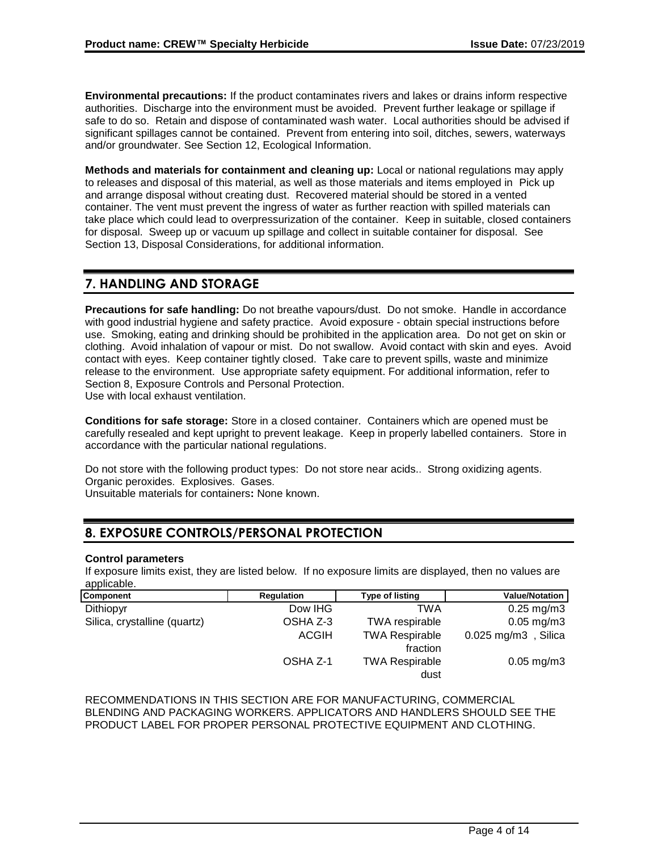**Environmental precautions:** If the product contaminates rivers and lakes or drains inform respective authorities. Discharge into the environment must be avoided. Prevent further leakage or spillage if safe to do so. Retain and dispose of contaminated wash water. Local authorities should be advised if significant spillages cannot be contained. Prevent from entering into soil, ditches, sewers, waterways and/or groundwater. See Section 12, Ecological Information.

**Methods and materials for containment and cleaning up:** Local or national regulations may apply to releases and disposal of this material, as well as those materials and items employed in Pick up and arrange disposal without creating dust. Recovered material should be stored in a vented container. The vent must prevent the ingress of water as further reaction with spilled materials can take place which could lead to overpressurization of the container. Keep in suitable, closed containers for disposal. Sweep up or vacuum up spillage and collect in suitable container for disposal. See Section 13, Disposal Considerations, for additional information.

## **7. HANDLING AND STORAGE**

**Precautions for safe handling:** Do not breathe vapours/dust. Do not smoke. Handle in accordance with good industrial hygiene and safety practice. Avoid exposure - obtain special instructions before use. Smoking, eating and drinking should be prohibited in the application area. Do not get on skin or clothing. Avoid inhalation of vapour or mist. Do not swallow. Avoid contact with skin and eyes. Avoid contact with eyes. Keep container tightly closed. Take care to prevent spills, waste and minimize release to the environment. Use appropriate safety equipment. For additional information, refer to Section 8, Exposure Controls and Personal Protection. Use with local exhaust ventilation.

**Conditions for safe storage:** Store in a closed container. Containers which are opened must be carefully resealed and kept upright to prevent leakage. Keep in properly labelled containers. Store in accordance with the particular national regulations.

Do not store with the following product types: Do not store near acids.. Strong oxidizing agents. Organic peroxides. Explosives. Gases. Unsuitable materials for containers**:** None known.

## **8. EXPOSURE CONTROLS/PERSONAL PROTECTION**

#### **Control parameters**

If exposure limits exist, they are listed below. If no exposure limits are displayed, then no values are applicable.

| Component                    | Regulation   | Type of listing                   | <b>Value/Notation</b>   |
|------------------------------|--------------|-----------------------------------|-------------------------|
| Dithiopyr                    | Dow IHG      | TWA                               | $0.25 \,\mathrm{mg/m3}$ |
| Silica, crystalline (quartz) | OSHA Z-3     | <b>TWA</b> respirable             | $0.05 \,\mathrm{mg/m3}$ |
|                              | <b>ACGIH</b> | <b>TWA Respirable</b><br>fraction | $0.025$ mg/m3, Silica   |
|                              | OSHA Z-1     | <b>TWA Respirable</b><br>dust     | $0.05$ mg/m $3$         |

RECOMMENDATIONS IN THIS SECTION ARE FOR MANUFACTURING, COMMERCIAL BLENDING AND PACKAGING WORKERS. APPLICATORS AND HANDLERS SHOULD SEE THE PRODUCT LABEL FOR PROPER PERSONAL PROTECTIVE EQUIPMENT AND CLOTHING.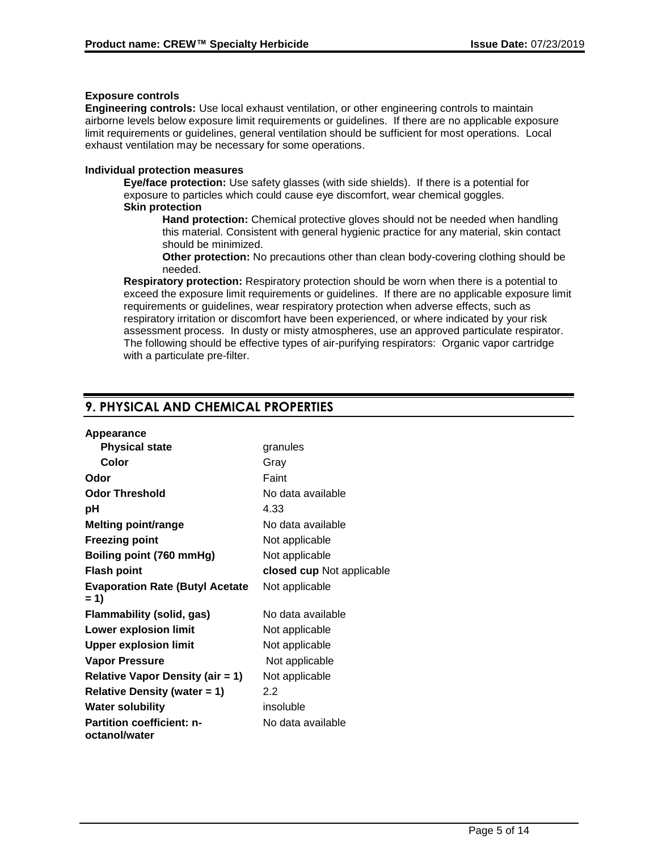#### **Exposure controls**

**Engineering controls:** Use local exhaust ventilation, or other engineering controls to maintain airborne levels below exposure limit requirements or guidelines. If there are no applicable exposure limit requirements or guidelines, general ventilation should be sufficient for most operations. Local exhaust ventilation may be necessary for some operations.

#### **Individual protection measures**

**Eye/face protection:** Use safety glasses (with side shields). If there is a potential for exposure to particles which could cause eye discomfort, wear chemical goggles. **Skin protection**

**Hand protection:** Chemical protective gloves should not be needed when handling this material. Consistent with general hygienic practice for any material, skin contact should be minimized.

**Other protection:** No precautions other than clean body-covering clothing should be needed.

**Respiratory protection:** Respiratory protection should be worn when there is a potential to exceed the exposure limit requirements or guidelines. If there are no applicable exposure limit requirements or guidelines, wear respiratory protection when adverse effects, such as respiratory irritation or discomfort have been experienced, or where indicated by your risk assessment process. In dusty or misty atmospheres, use an approved particulate respirator. The following should be effective types of air-purifying respirators: Organic vapor cartridge with a particulate pre-filter.

## **9. PHYSICAL AND CHEMICAL PROPERTIES**

| Appearance                                        |                           |
|---------------------------------------------------|---------------------------|
| <b>Physical state</b>                             | granules                  |
| Color                                             | Gray                      |
| Odor                                              | Faint                     |
| <b>Odor Threshold</b>                             | No data available         |
| рH                                                | 4.33                      |
| <b>Melting point/range</b>                        | No data available         |
| <b>Freezing point</b>                             | Not applicable            |
| Boiling point (760 mmHg)                          | Not applicable            |
| Flash point                                       | closed cup Not applicable |
| <b>Evaporation Rate (Butyl Acetate</b><br>$= 1$   | Not applicable            |
| Flammability (solid, gas)                         | No data available         |
| <b>Lower explosion limit</b>                      | Not applicable            |
| <b>Upper explosion limit</b>                      | Not applicable            |
| <b>Vapor Pressure</b>                             | Not applicable            |
| <b>Relative Vapor Density (air = 1)</b>           | Not applicable            |
| <b>Relative Density (water = 1)</b>               | 2.2                       |
| <b>Water solubility</b>                           | insoluble                 |
| <b>Partition coefficient: n-</b><br>octanol/water | No data available         |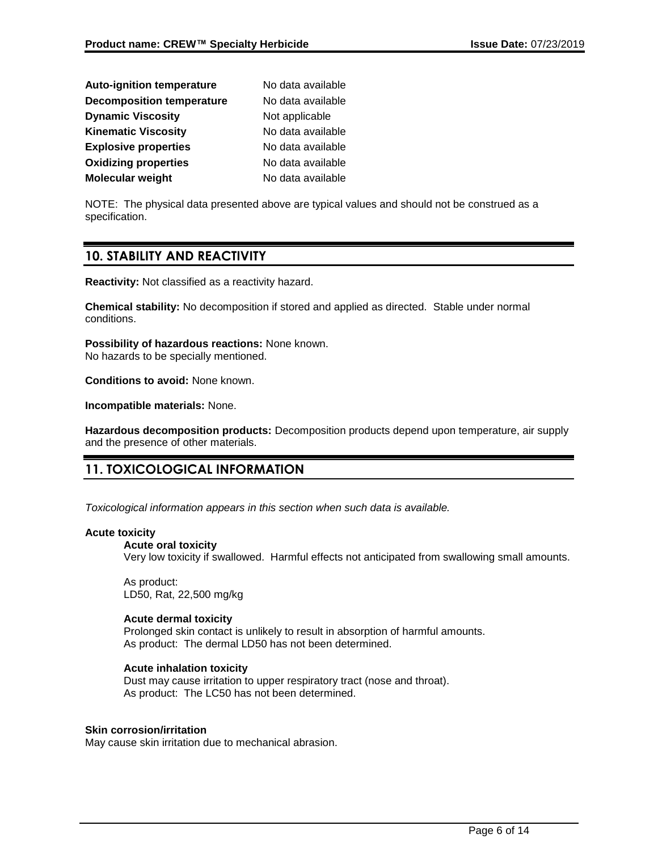| <b>Auto-ignition temperature</b> | No data available |
|----------------------------------|-------------------|
| <b>Decomposition temperature</b> | No data available |
| <b>Dynamic Viscosity</b>         | Not applicable    |
| <b>Kinematic Viscosity</b>       | No data available |
| <b>Explosive properties</b>      | No data available |
| <b>Oxidizing properties</b>      | No data available |
| Molecular weight                 | No data available |

NOTE: The physical data presented above are typical values and should not be construed as a specification.

### **10. STABILITY AND REACTIVITY**

**Reactivity:** Not classified as a reactivity hazard.

**Chemical stability:** No decomposition if stored and applied as directed. Stable under normal conditions.

**Possibility of hazardous reactions:** None known. No hazards to be specially mentioned.

**Conditions to avoid:** None known.

**Incompatible materials:** None.

**Hazardous decomposition products:** Decomposition products depend upon temperature, air supply and the presence of other materials.

## **11. TOXICOLOGICAL INFORMATION**

*Toxicological information appears in this section when such data is available.*

#### **Acute toxicity**

#### **Acute oral toxicity**

Very low toxicity if swallowed. Harmful effects not anticipated from swallowing small amounts.

As product: LD50, Rat, 22,500 mg/kg

#### **Acute dermal toxicity**

Prolonged skin contact is unlikely to result in absorption of harmful amounts. As product: The dermal LD50 has not been determined.

#### **Acute inhalation toxicity**

Dust may cause irritation to upper respiratory tract (nose and throat). As product: The LC50 has not been determined.

#### **Skin corrosion/irritation**

May cause skin irritation due to mechanical abrasion.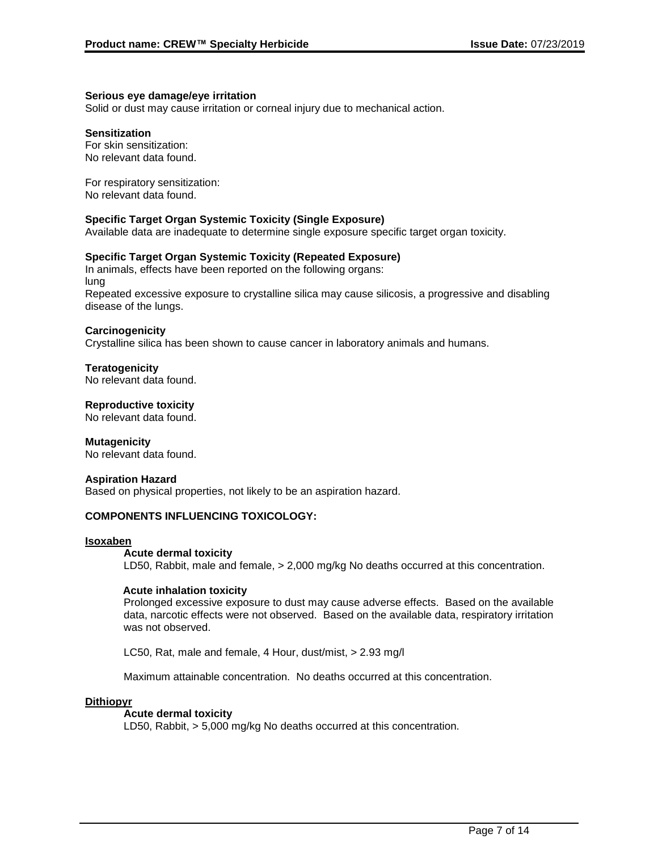#### **Serious eye damage/eye irritation**

Solid or dust may cause irritation or corneal injury due to mechanical action.

#### **Sensitization**

For skin sensitization: No relevant data found.

For respiratory sensitization: No relevant data found.

#### **Specific Target Organ Systemic Toxicity (Single Exposure)**

Available data are inadequate to determine single exposure specific target organ toxicity.

#### **Specific Target Organ Systemic Toxicity (Repeated Exposure)**

In animals, effects have been reported on the following organs: lung Repeated excessive exposure to crystalline silica may cause silicosis, a progressive and disabling disease of the lungs.

#### **Carcinogenicity**

Crystalline silica has been shown to cause cancer in laboratory animals and humans.

**Teratogenicity** No relevant data found.

**Reproductive toxicity**

No relevant data found.

#### **Mutagenicity**

No relevant data found.

#### **Aspiration Hazard**

Based on physical properties, not likely to be an aspiration hazard.

#### **COMPONENTS INFLUENCING TOXICOLOGY:**

#### **Isoxaben**

#### **Acute dermal toxicity**

LD50, Rabbit, male and female, > 2,000 mg/kg No deaths occurred at this concentration.

#### **Acute inhalation toxicity**

Prolonged excessive exposure to dust may cause adverse effects. Based on the available data, narcotic effects were not observed. Based on the available data, respiratory irritation was not observed.

LC50, Rat, male and female, 4 Hour, dust/mist, > 2.93 mg/l

Maximum attainable concentration. No deaths occurred at this concentration.

#### **Dithiopyr**

#### **Acute dermal toxicity**

LD50, Rabbit, > 5,000 mg/kg No deaths occurred at this concentration.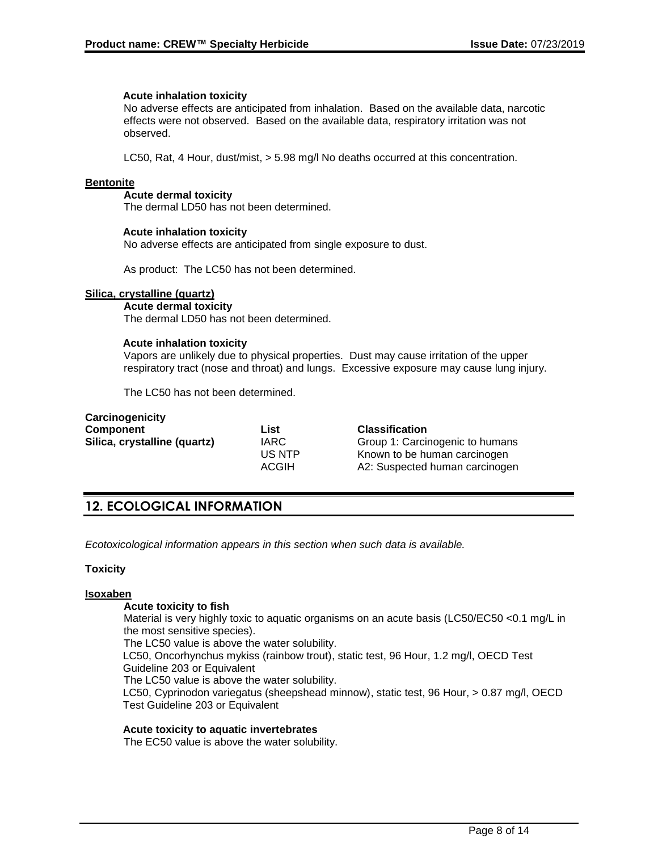#### **Acute inhalation toxicity**

No adverse effects are anticipated from inhalation. Based on the available data, narcotic effects were not observed. Based on the available data, respiratory irritation was not observed.

LC50, Rat, 4 Hour, dust/mist, > 5.98 mg/l No deaths occurred at this concentration.

#### **Bentonite**

#### **Acute dermal toxicity**

The dermal LD50 has not been determined.

#### **Acute inhalation toxicity**

No adverse effects are anticipated from single exposure to dust.

As product: The LC50 has not been determined.

#### **Silica, crystalline (quartz)**

**Acute dermal toxicity** The dermal LD50 has not been determined.

#### **Acute inhalation toxicity**

Vapors are unlikely due to physical properties. Dust may cause irritation of the upper respiratory tract (nose and throat) and lungs. Excessive exposure may cause lung injury.

The LC50 has not been determined.

| Carcinogenicity              |              |                                 |
|------------------------------|--------------|---------------------------------|
| Component                    | List         | <b>Classification</b>           |
| Silica, crystalline (quartz) | <b>IARC</b>  | Group 1: Carcinogenic to humans |
|                              | US NTP       | Known to be human carcinogen    |
|                              | <b>ACGIH</b> | A2: Suspected human carcinogen  |
|                              |              |                                 |

## **12. ECOLOGICAL INFORMATION**

*Ecotoxicological information appears in this section when such data is available.*

#### **Toxicity**

#### **Isoxaben**

#### **Acute toxicity to fish**

Material is very highly toxic to aquatic organisms on an acute basis (LC50/EC50 <0.1 mg/L in the most sensitive species).

The LC50 value is above the water solubility.

LC50, Oncorhynchus mykiss (rainbow trout), static test, 96 Hour, 1.2 mg/l, OECD Test Guideline 203 or Equivalent

The LC50 value is above the water solubility.

LC50, Cyprinodon variegatus (sheepshead minnow), static test, 96 Hour, > 0.87 mg/l, OECD Test Guideline 203 or Equivalent

#### **Acute toxicity to aquatic invertebrates**

The EC50 value is above the water solubility.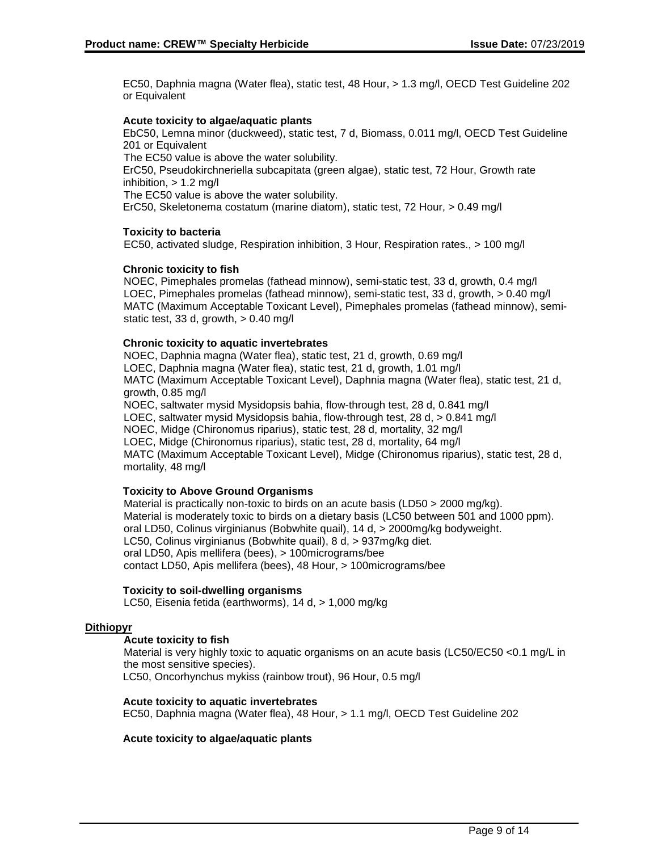EC50, Daphnia magna (Water flea), static test, 48 Hour, > 1.3 mg/l, OECD Test Guideline 202 or Equivalent

#### **Acute toxicity to algae/aquatic plants**

EbC50, Lemna minor (duckweed), static test, 7 d, Biomass, 0.011 mg/l, OECD Test Guideline 201 or Equivalent The EC50 value is above the water solubility. ErC50, Pseudokirchneriella subcapitata (green algae), static test, 72 Hour, Growth rate inhibition,  $> 1.2$  mg/l

The EC50 value is above the water solubility.

ErC50, Skeletonema costatum (marine diatom), static test, 72 Hour, > 0.49 mg/l

#### **Toxicity to bacteria**

EC50, activated sludge, Respiration inhibition, 3 Hour, Respiration rates., > 100 mg/l

#### **Chronic toxicity to fish**

NOEC, Pimephales promelas (fathead minnow), semi-static test, 33 d, growth, 0.4 mg/l LOEC, Pimephales promelas (fathead minnow), semi-static test, 33 d, growth,  $> 0.40$  mg/l MATC (Maximum Acceptable Toxicant Level), Pimephales promelas (fathead minnow), semistatic test, 33 d, growth, > 0.40 mg/l

#### **Chronic toxicity to aquatic invertebrates**

NOEC, Daphnia magna (Water flea), static test, 21 d, growth, 0.69 mg/l LOEC, Daphnia magna (Water flea), static test, 21 d, growth, 1.01 mg/l MATC (Maximum Acceptable Toxicant Level), Daphnia magna (Water flea), static test, 21 d, growth, 0.85 mg/l NOEC, saltwater mysid Mysidopsis bahia, flow-through test, 28 d, 0.841 mg/l LOEC, saltwater mysid Mysidopsis bahia, flow-through test,  $28 d$ ,  $> 0.841$  mg/l NOEC, Midge (Chironomus riparius), static test, 28 d, mortality, 32 mg/l LOEC, Midge (Chironomus riparius), static test, 28 d, mortality, 64 mg/l MATC (Maximum Acceptable Toxicant Level), Midge (Chironomus riparius), static test, 28 d, mortality, 48 mg/l

#### **Toxicity to Above Ground Organisms**

Material is practically non-toxic to birds on an acute basis (LD50 > 2000 mg/kg). Material is moderately toxic to birds on a dietary basis (LC50 between 501 and 1000 ppm). oral LD50, Colinus virginianus (Bobwhite quail), 14 d, > 2000mg/kg bodyweight. LC50, Colinus virginianus (Bobwhite quail), 8 d, > 937mg/kg diet. oral LD50, Apis mellifera (bees), > 100micrograms/bee contact LD50, Apis mellifera (bees), 48 Hour, > 100micrograms/bee

#### **Toxicity to soil-dwelling organisms**

LC50, Eisenia fetida (earthworms), 14 d, > 1,000 mg/kg

#### **Dithiopyr**

#### **Acute toxicity to fish**

Material is very highly toxic to aquatic organisms on an acute basis (LC50/EC50 <0.1 mg/L in the most sensitive species).

LC50, Oncorhynchus mykiss (rainbow trout), 96 Hour, 0.5 mg/l

#### **Acute toxicity to aquatic invertebrates**

EC50, Daphnia magna (Water flea), 48 Hour, > 1.1 mg/l, OECD Test Guideline 202

#### **Acute toxicity to algae/aquatic plants**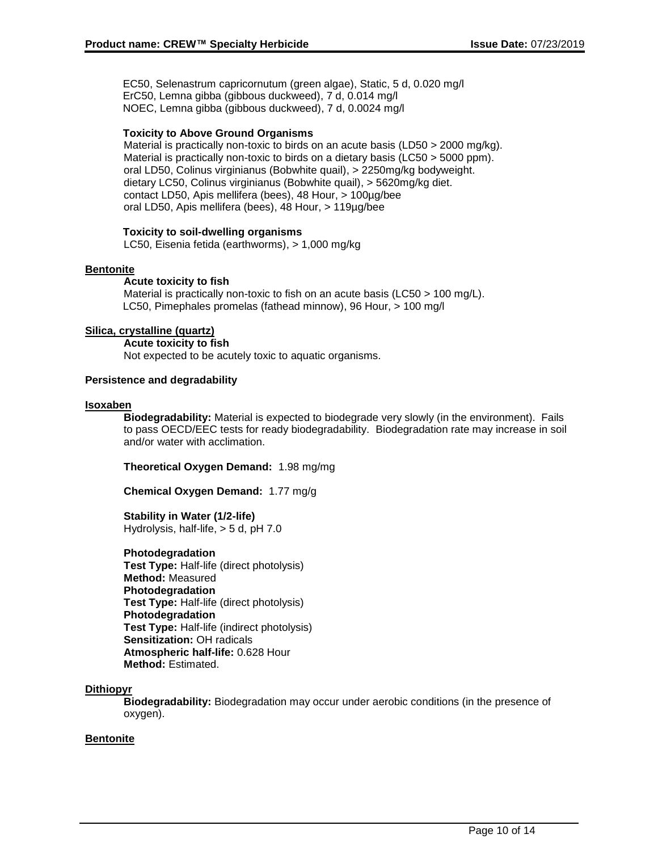EC50, Selenastrum capricornutum (green algae), Static, 5 d, 0.020 mg/l ErC50, Lemna gibba (gibbous duckweed), 7 d, 0.014 mg/l NOEC, Lemna gibba (gibbous duckweed), 7 d, 0.0024 mg/l

#### **Toxicity to Above Ground Organisms**

Material is practically non-toxic to birds on an acute basis (LD50 > 2000 mg/kg). Material is practically non-toxic to birds on a dietary basis (LC50 > 5000 ppm). oral LD50, Colinus virginianus (Bobwhite quail), > 2250mg/kg bodyweight. dietary LC50, Colinus virginianus (Bobwhite quail), > 5620mg/kg diet. contact LD50, Apis mellifera (bees), 48 Hour, > 100µg/bee oral LD50, Apis mellifera (bees), 48 Hour, > 119µg/bee

#### **Toxicity to soil-dwelling organisms**

LC50, Eisenia fetida (earthworms), > 1,000 mg/kg

#### **Bentonite**

#### **Acute toxicity to fish**

Material is practically non-toxic to fish on an acute basis (LC50 > 100 mg/L). LC50, Pimephales promelas (fathead minnow), 96 Hour, > 100 mg/l

#### **Silica, crystalline (quartz)**

**Acute toxicity to fish** Not expected to be acutely toxic to aquatic organisms.

#### **Persistence and degradability**

#### **Isoxaben**

**Biodegradability:** Material is expected to biodegrade very slowly (in the environment). Fails to pass OECD/EEC tests for ready biodegradability. Biodegradation rate may increase in soil and/or water with acclimation.

**Theoretical Oxygen Demand:** 1.98 mg/mg

**Chemical Oxygen Demand:** 1.77 mg/g

**Stability in Water (1/2-life)** Hydrolysis, half-life, > 5 d, pH 7.0

**Photodegradation**

**Test Type:** Half-life (direct photolysis) **Method:** Measured **Photodegradation Test Type:** Half-life (direct photolysis) **Photodegradation Test Type:** Half-life (indirect photolysis) **Sensitization:** OH radicals **Atmospheric half-life:** 0.628 Hour **Method:** Estimated.

#### **Dithiopyr**

**Biodegradability:** Biodegradation may occur under aerobic conditions (in the presence of oxygen).

#### **Bentonite**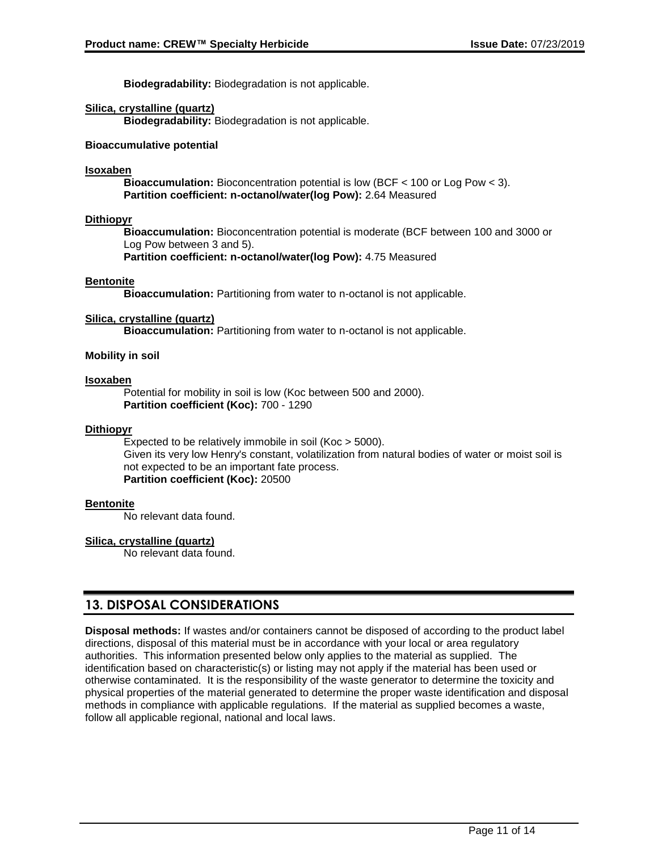**Biodegradability:** Biodegradation is not applicable.

#### **Silica, crystalline (quartz)**

**Biodegradability:** Biodegradation is not applicable.

#### **Bioaccumulative potential**

#### **Isoxaben**

**Bioaccumulation:** Bioconcentration potential is low (BCF < 100 or Log Pow < 3). **Partition coefficient: n-octanol/water(log Pow):** 2.64 Measured

#### **Dithiopyr**

**Bioaccumulation:** Bioconcentration potential is moderate (BCF between 100 and 3000 or Log Pow between 3 and 5).

**Partition coefficient: n-octanol/water(log Pow):** 4.75 Measured

#### **Bentonite**

**Bioaccumulation:** Partitioning from water to n-octanol is not applicable.

#### **Silica, crystalline (quartz)**

**Bioaccumulation:** Partitioning from water to n-octanol is not applicable.

#### **Mobility in soil**

#### **Isoxaben**

Potential for mobility in soil is low (Koc between 500 and 2000). **Partition coefficient (Koc):** 700 - 1290

#### **Dithiopyr**

Expected to be relatively immobile in soil (Koc > 5000). Given its very low Henry's constant, volatilization from natural bodies of water or moist soil is not expected to be an important fate process. **Partition coefficient (Koc):** 20500

#### **Bentonite**

No relevant data found.

#### **Silica, crystalline (quartz)**

No relevant data found.

## **13. DISPOSAL CONSIDERATIONS**

**Disposal methods:** If wastes and/or containers cannot be disposed of according to the product label directions, disposal of this material must be in accordance with your local or area regulatory authorities. This information presented below only applies to the material as supplied. The identification based on characteristic(s) or listing may not apply if the material has been used or otherwise contaminated. It is the responsibility of the waste generator to determine the toxicity and physical properties of the material generated to determine the proper waste identification and disposal methods in compliance with applicable regulations. If the material as supplied becomes a waste, follow all applicable regional, national and local laws.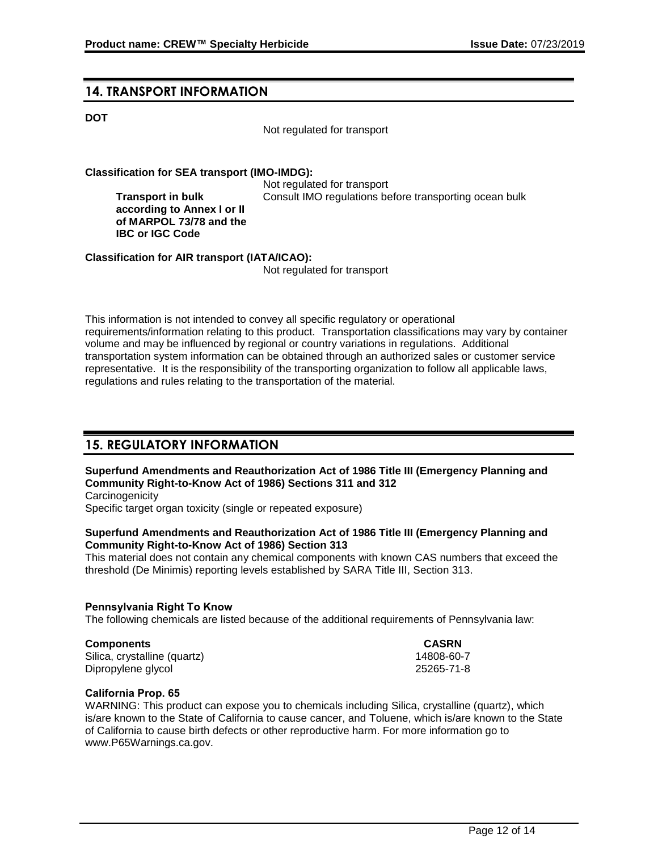### **14. TRANSPORT INFORMATION**

**Transport in bulk** 

**IBC or IGC Code**

#### **DOT**

Not regulated for transport

#### **Classification for SEA transport (IMO-IMDG):**

Not regulated for transport **according to Annex I or II of MARPOL 73/78 and the**  Consult IMO regulations before transporting ocean bulk

**Classification for AIR transport (IATA/ICAO):**

Not regulated for transport

This information is not intended to convey all specific regulatory or operational requirements/information relating to this product. Transportation classifications may vary by container volume and may be influenced by regional or country variations in regulations. Additional transportation system information can be obtained through an authorized sales or customer service representative. It is the responsibility of the transporting organization to follow all applicable laws, regulations and rules relating to the transportation of the material.

## **15. REGULATORY INFORMATION**

#### **Superfund Amendments and Reauthorization Act of 1986 Title III (Emergency Planning and Community Right-to-Know Act of 1986) Sections 311 and 312**

**Carcinogenicity** Specific target organ toxicity (single or repeated exposure)

#### **Superfund Amendments and Reauthorization Act of 1986 Title III (Emergency Planning and Community Right-to-Know Act of 1986) Section 313**

This material does not contain any chemical components with known CAS numbers that exceed the threshold (De Minimis) reporting levels established by SARA Title III, Section 313.

#### **Pennsylvania Right To Know**

The following chemicals are listed because of the additional requirements of Pennsylvania law:

#### **Components CASRN**

Silica, crystalline (quartz) 14808-60-7 Dipropylene glycol 25265-71-8

#### **California Prop. 65**

WARNING: This product can expose you to chemicals including Silica, crystalline (quartz), which is/are known to the State of California to cause cancer, and Toluene, which is/are known to the State of California to cause birth defects or other reproductive harm. For more information go to www.P65Warnings.ca.gov.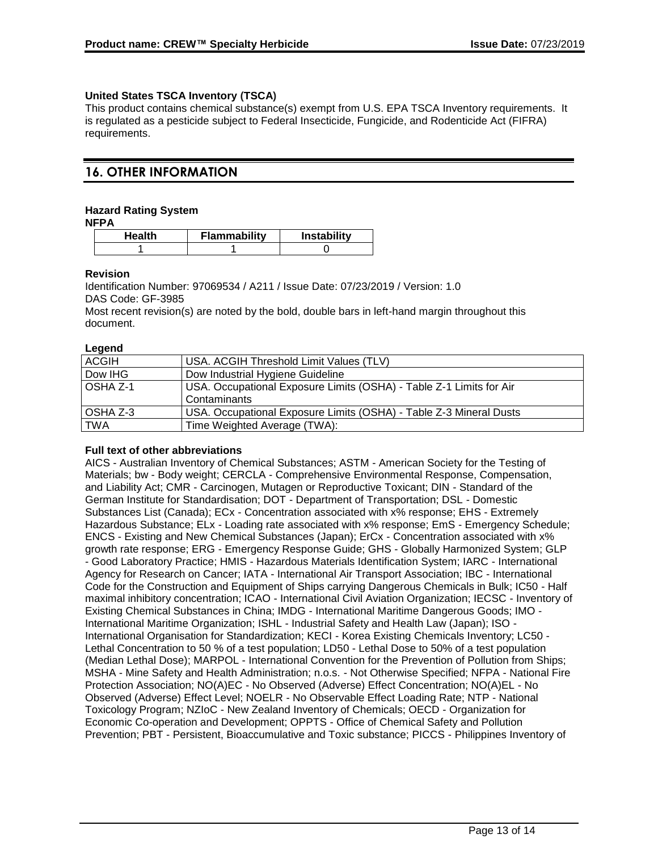#### **United States TSCA Inventory (TSCA)**

This product contains chemical substance(s) exempt from U.S. EPA TSCA Inventory requirements. It is regulated as a pesticide subject to Federal Insecticide, Fungicide, and Rodenticide Act (FIFRA) requirements.

## **16. OTHER INFORMATION**

#### **Hazard Rating System**

**NFPA**

| Health | Flammability | <b>Instability</b> |
|--------|--------------|--------------------|
|        |              |                    |

#### **Revision**

Identification Number: 97069534 / A211 / Issue Date: 07/23/2019 / Version: 1.0 DAS Code: GF-3985

Most recent revision(s) are noted by the bold, double bars in left-hand margin throughout this document.

#### **Legend**

| <b>ACGIH</b> | USA. ACGIH Threshold Limit Values (TLV)                                             |
|--------------|-------------------------------------------------------------------------------------|
| Dow IHG      | Dow Industrial Hygiene Guideline                                                    |
| OSHA Z-1     | USA. Occupational Exposure Limits (OSHA) - Table Z-1 Limits for Air<br>Contaminants |
| OSHA Z-3     | USA. Occupational Exposure Limits (OSHA) - Table Z-3 Mineral Dusts                  |
| <b>TWA</b>   | Time Weighted Average (TWA):                                                        |

#### **Full text of other abbreviations**

AICS - Australian Inventory of Chemical Substances; ASTM - American Society for the Testing of Materials; bw - Body weight; CERCLA - Comprehensive Environmental Response, Compensation, and Liability Act; CMR - Carcinogen, Mutagen or Reproductive Toxicant; DIN - Standard of the German Institute for Standardisation; DOT - Department of Transportation; DSL - Domestic Substances List (Canada); ECx - Concentration associated with x% response; EHS - Extremely Hazardous Substance; ELx - Loading rate associated with x% response; EmS - Emergency Schedule; ENCS - Existing and New Chemical Substances (Japan); ErCx - Concentration associated with x% growth rate response; ERG - Emergency Response Guide; GHS - Globally Harmonized System; GLP - Good Laboratory Practice; HMIS - Hazardous Materials Identification System; IARC - International Agency for Research on Cancer; IATA - International Air Transport Association; IBC - International Code for the Construction and Equipment of Ships carrying Dangerous Chemicals in Bulk; IC50 - Half maximal inhibitory concentration; ICAO - International Civil Aviation Organization; IECSC - Inventory of Existing Chemical Substances in China; IMDG - International Maritime Dangerous Goods; IMO - International Maritime Organization; ISHL - Industrial Safety and Health Law (Japan); ISO - International Organisation for Standardization; KECI - Korea Existing Chemicals Inventory; LC50 - Lethal Concentration to 50 % of a test population; LD50 - Lethal Dose to 50% of a test population (Median Lethal Dose); MARPOL - International Convention for the Prevention of Pollution from Ships; MSHA - Mine Safety and Health Administration; n.o.s. - Not Otherwise Specified; NFPA - National Fire Protection Association; NO(A)EC - No Observed (Adverse) Effect Concentration; NO(A)EL - No Observed (Adverse) Effect Level; NOELR - No Observable Effect Loading Rate; NTP - National Toxicology Program; NZIoC - New Zealand Inventory of Chemicals; OECD - Organization for Economic Co-operation and Development; OPPTS - Office of Chemical Safety and Pollution Prevention; PBT - Persistent, Bioaccumulative and Toxic substance; PICCS - Philippines Inventory of